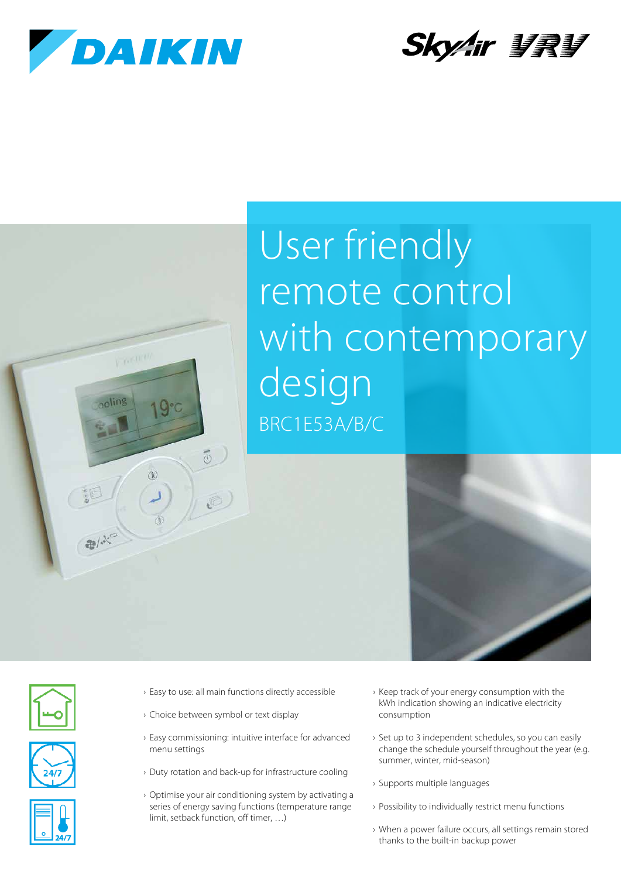

y, cui et

 $\mathbb{D}$ 



## User friendly remote control with contemporary design BRC1E53A/B/C









- › Easy to use: all main functions directly accessible
- › Choice between symbol or text display

 $\overline{5}$ 

a)

- › Easy commissioning: intuitive interface for advanced menu settings
- › Duty rotation and back-up for infrastructure cooling
- › Optimise your air conditioning system by activating a series of energy saving functions (temperature range limit, setback function, off timer, …)
- › Keep track of your energy consumption with the kWh indication showing an indicative electricity consumption
- › Set up to 3 independent schedules, so you can easily change the schedule yourself throughout the year (e.g. summer, winter, mid-season)
- › Supports multiple languages
- › Possibility to individually restrict menu functions
- › When a power failure occurs, all settings remain stored thanks to the built-in backup power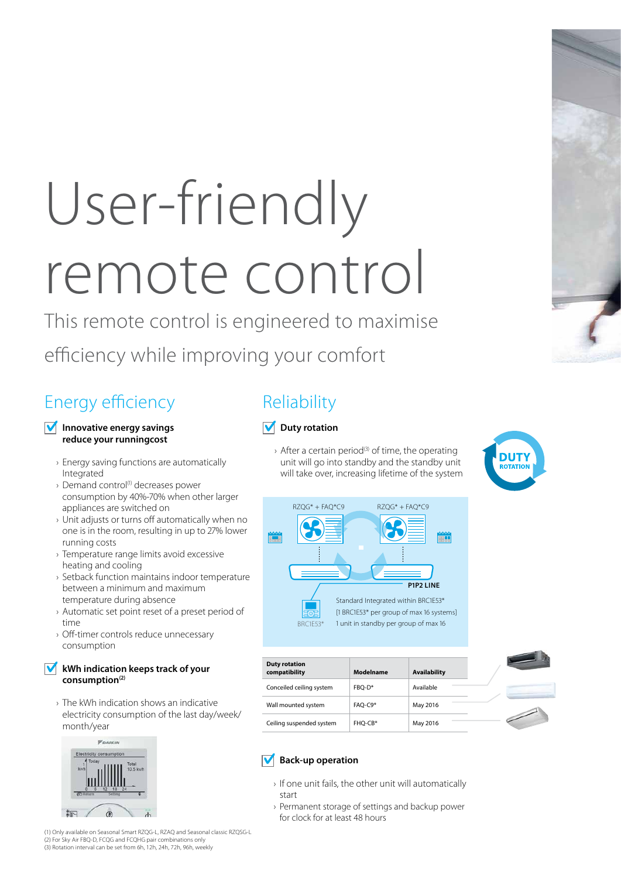# User-friendly remote control

This remote control is engineered to maximise

efficiency while improving your comfort

## Energy efficiency

#### **Innovative energy savings reduce your runningcost**

- › Energy saving functions are automatically Integrated
- › Demand control(1) decreases power consumption by 40%-70% when other larger appliances are switched on
- › Unit adjusts or turns off automatically when no one is in the room, resulting in up to 27% lower running costs
- › Temperature range limits avoid excessive heating and cooling
- › Setback function maintains indoor temperature between a minimum and maximum temperature during absence
- › Automatic set point reset of a preset period of time
- › Off-timer controls reduce unnecessary consumption

#### **kWh indication keeps track of your consumption(2)**

› The kWh indication shows an indicative electricity consumption of the last day/week/ month/year



(1) Only available on Seasonal Smart RZQG-L, RZAQ and Seasonal classic RZQSG-L (2) For Sky Air FBQ-D, FCQG and FCQHG pair combinations only (3) Rotation interval can be set from 6h, 12h, 24h, 72h, 96h, weekly

## **Reliability**

#### **Duty rotation**

 $\rightarrow$  After a certain period<sup>(3)</sup> of time, the operating unit will go into standby and the standby unit will take over, increasing lifetime of the system



[1 BRC1E53\* per group of max 16 systems] 1 unit in standby per group of max 16

| <b>Duty rotation</b><br>compatibility | Modelname | <b>Availability</b> |
|---------------------------------------|-----------|---------------------|
| Conceiled ceiling system              | FBO-D*    | Available           |
| Wall mounted system                   | FAO-C9*   | May 2016            |
| Ceiling suspended system              | FHO-CB*   | May 2016            |



#### **Back-up operation**

BRC1E53\*

- › If one unit fails, the other unit will automatically start
- › Permanent storage of settings and backup power for clock for at least 48 hours

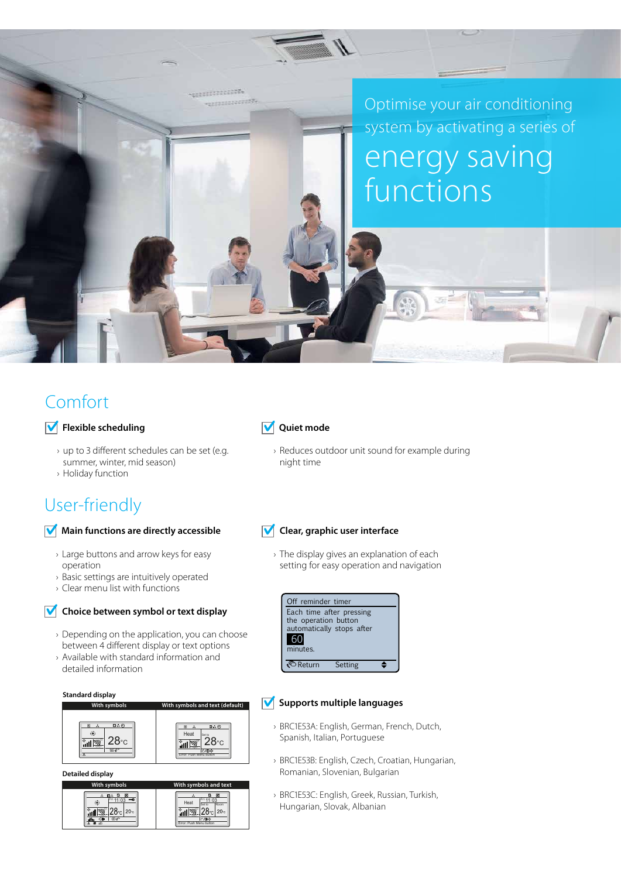Optimise your air conditioning system by activating a series of energy saving functions

## Comfort

#### $\sqrt{\phantom{a}}$  Flexible scheduling

- › up to 3 different schedules can be set (e.g. summer, winter, mid season)
- › Holiday function

### User-friendly

#### **Main functions are directly accessible**

- › Large buttons and arrow keys for easy operation
- › Basic settings are intuitively operated
- › Clear menu list with functions

#### **Choice between symbol or text display**

- › Depending on the application, you can choose between 4 different display or text options
- › Available with standard information and detailed information

#### **Standard display**



**Detailed display**



#### **V** Quiet mode

.......... ................

> › Reduces outdoor unit sound for example during night time

#### **V** Clear, graphic user interface

› The display gives an explanation of each setting for easy operation and navigation



#### *M* Supports multiple languages

- › BRC1E53A: English, German, French, Dutch, Spanish, Italian, Portuguese
- › BRC1E53B: English, Czech, Croatian, Hungarian, Romanian, Slovenian, Bulgarian
- › BRC1E53C: English, Greek, Russian, Turkish, Hungarian, Slovak, Albanian